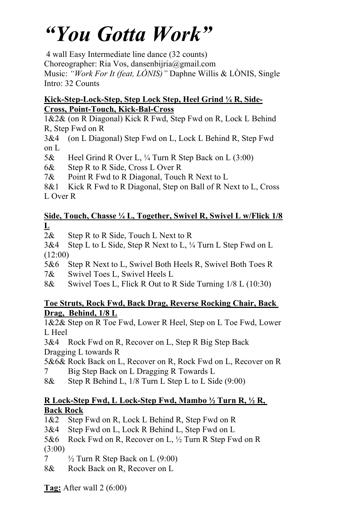# *"You Gotta Work"*

4 wall Easy Intermediate line dance (32 counts)

Choreographer: Ria Vos, dansenbijria@gmail.com

Music: *"Work For It (feat, LÒNIS)"* Daphne Willis & LÒNIS, Single Intro: 32 Counts

#### **Kick-Step-Lock-Step, Step Lock Step, Heel Grind ¼ R, Side-Cross, Point-Touch, Kick-Bal-Cross**

1&2& (on R Diagonal) Kick R Fwd, Step Fwd on R, Lock L Behind R, Step Fwd on R

3&4 (on L Diagonal) Step Fwd on L, Lock L Behind R, Step Fwd on L

5& Heel Grind R Over L, ¼ Turn R Step Back on L (3:00)

6& Step R to R Side, Cross L Over R

7& Point R Fwd to R Diagonal, Touch R Next to L

8&1 Kick R Fwd to R Diagonal, Step on Ball of R Next to L, Cross L Over R

### **Side, Touch, Chasse ¼ L, Together, Swivel R, Swivel L w/Flick 1/8 L**

2& Step R to R Side, Touch L Next to R

3&4 Step L to L Side, Step R Next to L, ¼ Turn L Step Fwd on L (12:00)

5&6 Step R Next to L, Swivel Both Heels R, Swivel Both Toes R

7& Swivel Toes L, Swivel Heels L

8& Swivel Toes L, Flick R Out to R Side Turning 1/8 L (10:30)

### **Toe Struts, Rock Fwd, Back Drag, Reverse Rocking Chair, Back Drag, Behind, 1/8 L**

1&2& Step on R Toe Fwd, Lower R Heel, Step on L Toe Fwd, Lower L Heel

3&4 Rock Fwd on R, Recover on L, Step R Big Step Back Dragging L towards R

5&6& Rock Back on L, Recover on R, Rock Fwd on L, Recover on R 7 Big Step Back on L Dragging R Towards L

8& Step R Behind L, 1/8 Turn L Step L to L Side (9:00)

## **R Lock-Step Fwd, L Lock-Step Fwd, Mambo ½ Turn R, ½ R, Back Rock**

1&2 Step Fwd on R, Lock L Behind R, Step Fwd on R

3&4 Step Fwd on L, Lock R Behind L, Step Fwd on L

5&6 Rock Fwd on R, Recover on L, ½ Turn R Step Fwd on R (3:00)

 $\frac{7}{2}$  1/2 Turn R Step Back on L (9:00)

8& Rock Back on R, Recover on L

**Tag:** After wall 2 (6:00)